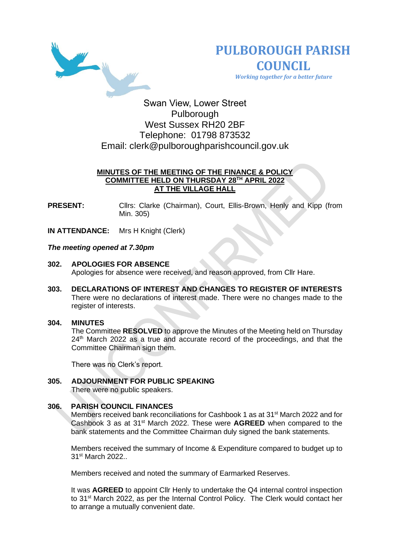



 *Working together for a better future*

Swan View, Lower Street Pulborough West Sussex RH20 2BF Telephone: 01798 873532 Email: [clerk@pulboroughparishcouncil.gov.uk](mailto:clerk@pulboroughparishcouncil.gov.uk)

# **MINUTES OF THE MEETING OF THE FINANCE & POLICY COMMITTEE HELD ON THURSDAY 28TH APRIL 2022 AT THE VILLAGE HALL**

**PRESENT:** Clirs: Clarke (Chairman), Court, Ellis-Brown, Henly and Kipp (from Min. 305)

**IN ATTENDANCE:** Mrs H Knight (Clerk)

## *The meeting opened at 7.30pm*

- **302. APOLOGIES FOR ABSENCE**  Apologies for absence were received, and reason approved, from Cllr Hare.
- **303. DECLARATIONS OF INTEREST AND CHANGES TO REGISTER OF INTERESTS** There were no declarations of interest made. There were no changes made to the register of interests.

## **304. MINUTES**

The Committee **RESOLVED** to approve the Minutes of the Meeting held on Thursday 24<sup>th</sup> March 2022 as a true and accurate record of the proceedings, and that the Committee Chairman sign them.

There was no Clerk's report.

#### **305. ADJOURNMENT FOR PUBLIC SPEAKING** There were no public speakers.

## **306. PARISH COUNCIL FINANCES**

Members received bank reconciliations for Cashbook 1 as at 31<sup>st</sup> March 2022 and for Cashbook 3 as at 31st March 2022. These were **AGREED** when compared to the bank statements and the Committee Chairman duly signed the bank statements.

Members received the summary of Income & Expenditure compared to budget up to 31st March 2022..

Members received and noted the summary of Earmarked Reserves.

It was **AGREED** to appoint Cllr Henly to undertake the Q4 internal control inspection to 31st March 2022, as per the Internal Control Policy. The Clerk would contact her to arrange a mutually convenient date.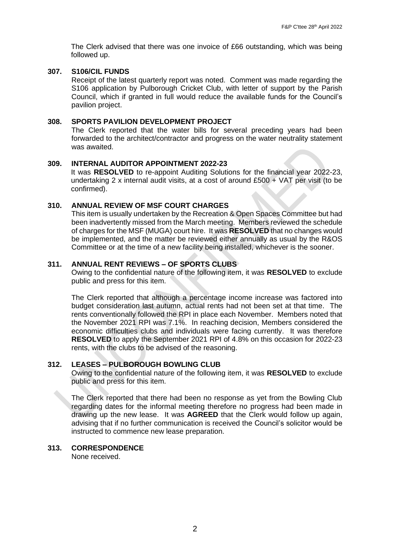The Clerk advised that there was one invoice of £66 outstanding, which was being followed up.

## **307. S106/CIL FUNDS**

Receipt of the latest quarterly report was noted. Comment was made regarding the S106 application by Pulborough Cricket Club, with letter of support by the Parish Council, which if granted in full would reduce the available funds for the Council's pavilion project.

### **308. SPORTS PAVILION DEVELOPMENT PROJECT**

The Clerk reported that the water bills for several preceding years had been forwarded to the architect/contractor and progress on the water neutrality statement was awaited.

## **309. INTERNAL AUDITOR APPOINTMENT 2022-23**

It was **RESOLVED** to re-appoint Auditing Solutions for the financial year 2022-23, undertaking 2 x internal audit visits, at a cost of around £500 + VAT per visit (to be confirmed).

## **310. ANNUAL REVIEW OF MSF COURT CHARGES**

This item is usually undertaken by the Recreation & Open Spaces Committee but had been inadvertently missed from the March meeting. Members reviewed the schedule of charges for the MSF (MUGA) court hire. It was **RESOLVED** that no changes would be implemented, and the matter be reviewed either annually as usual by the R&OS Committee or at the time of a new facility being installed, whichever is the sooner.

# **311. ANNUAL RENT REVIEWS – OF SPORTS CLUBS**

Owing to the confidential nature of the following item, it was **RESOLVED** to exclude public and press for this item.

The Clerk reported that although a percentage income increase was factored into budget consideration last autumn, actual rents had not been set at that time. The rents conventionally followed the RPI in place each November. Members noted that the November 2021 RPI was 7.1%. In reaching decision, Members considered the economic difficulties clubs and individuals were facing currently. It was therefore **RESOLVED** to apply the September 2021 RPI of 4.8% on this occasion for 2022-23 rents, with the clubs to be advised of the reasoning.

## **312. LEASES – PULBOROUGH BOWLING CLUB**

Owing to the confidential nature of the following item, it was **RESOLVED** to exclude public and press for this item.

The Clerk reported that there had been no response as yet from the Bowling Club regarding dates for the informal meeting therefore no progress had been made in drawing up the new lease. It was **AGREED** that the Clerk would follow up again, advising that if no further communication is received the Council's solicitor would be instructed to commence new lease preparation.

## **313. CORRESPONDENCE**

None received.